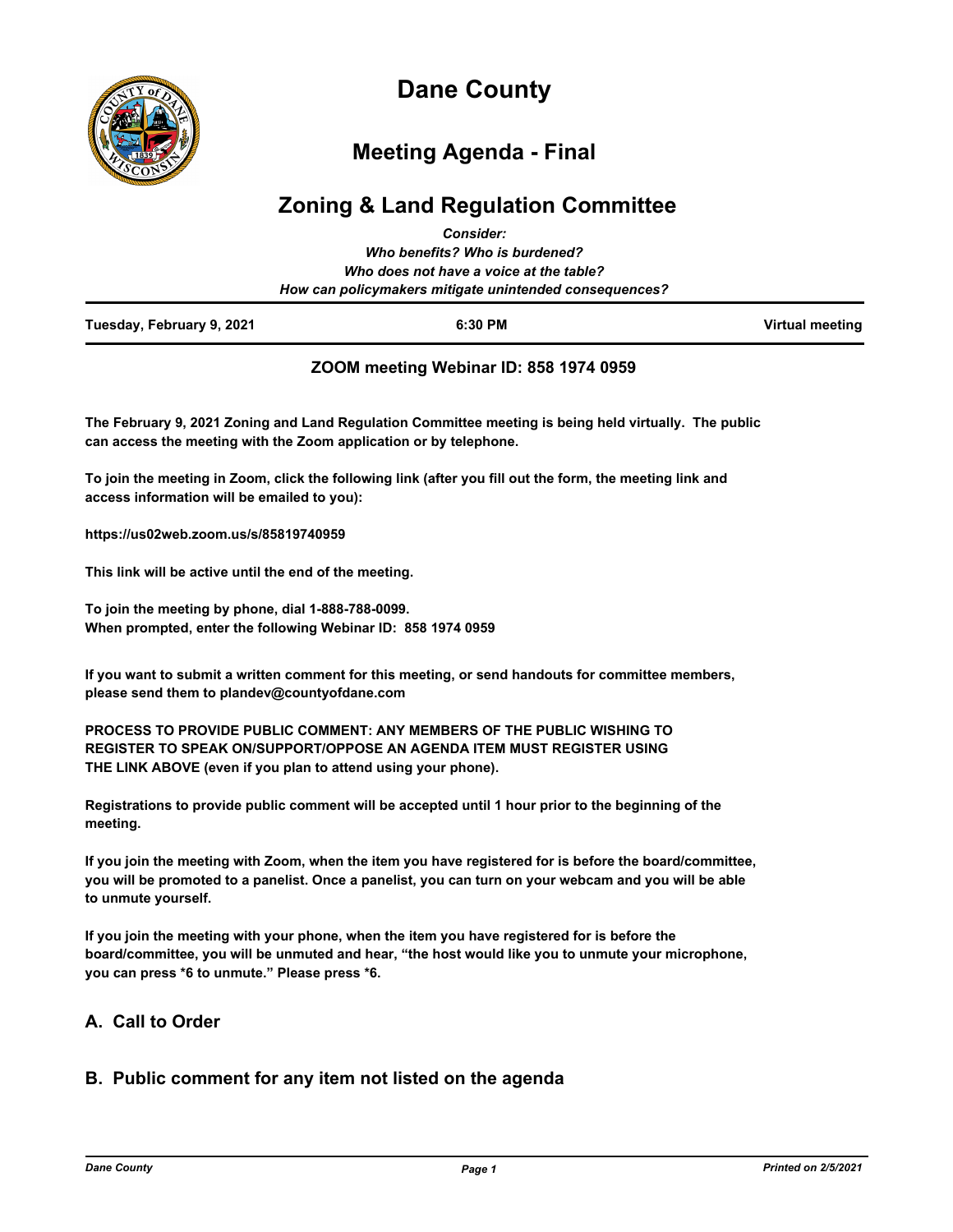

# **Dane County**

## **Meeting Agenda - Final**

## **Zoning & Land Regulation Committee** *Consider:*

|                           | GUISIUCI.<br>Who benefits? Who is burdened?                                                       |                 |
|---------------------------|---------------------------------------------------------------------------------------------------|-----------------|
|                           | Who does not have a voice at the table?<br>How can policymakers mitigate unintended consequences? |                 |
| Tuesday, February 9, 2021 | 6:30 PM                                                                                           | Virtual meeting |

## **ZOOM meeting Webinar ID: 858 1974 0959**

**The February 9, 2021 Zoning and Land Regulation Committee meeting is being held virtually. The public can access the meeting with the Zoom application or by telephone.**

**To join the meeting in Zoom, click the following link (after you fill out the form, the meeting link and access information will be emailed to you):** 

**https://us02web.zoom.us/s/85819740959**

**This link will be active until the end of the meeting.**

**To join the meeting by phone, dial 1-888-788-0099. When prompted, enter the following Webinar ID: 858 1974 0959**

**If you want to submit a written comment for this meeting, or send handouts for committee members, please send them to plandev@countyofdane.com**

**PROCESS TO PROVIDE PUBLIC COMMENT: ANY MEMBERS OF THE PUBLIC WISHING TO REGISTER TO SPEAK ON/SUPPORT/OPPOSE AN AGENDA ITEM MUST REGISTER USING THE LINK ABOVE (even if you plan to attend using your phone).**

**Registrations to provide public comment will be accepted until 1 hour prior to the beginning of the meeting.**

**If you join the meeting with Zoom, when the item you have registered for is before the board/committee, you will be promoted to a panelist. Once a panelist, you can turn on your webcam and you will be able to unmute yourself.**

**If you join the meeting with your phone, when the item you have registered for is before the board/committee, you will be unmuted and hear, "the host would like you to unmute your microphone, you can press \*6 to unmute." Please press \*6.**

## **A. Call to Order**

## **B. Public comment for any item not listed on the agenda**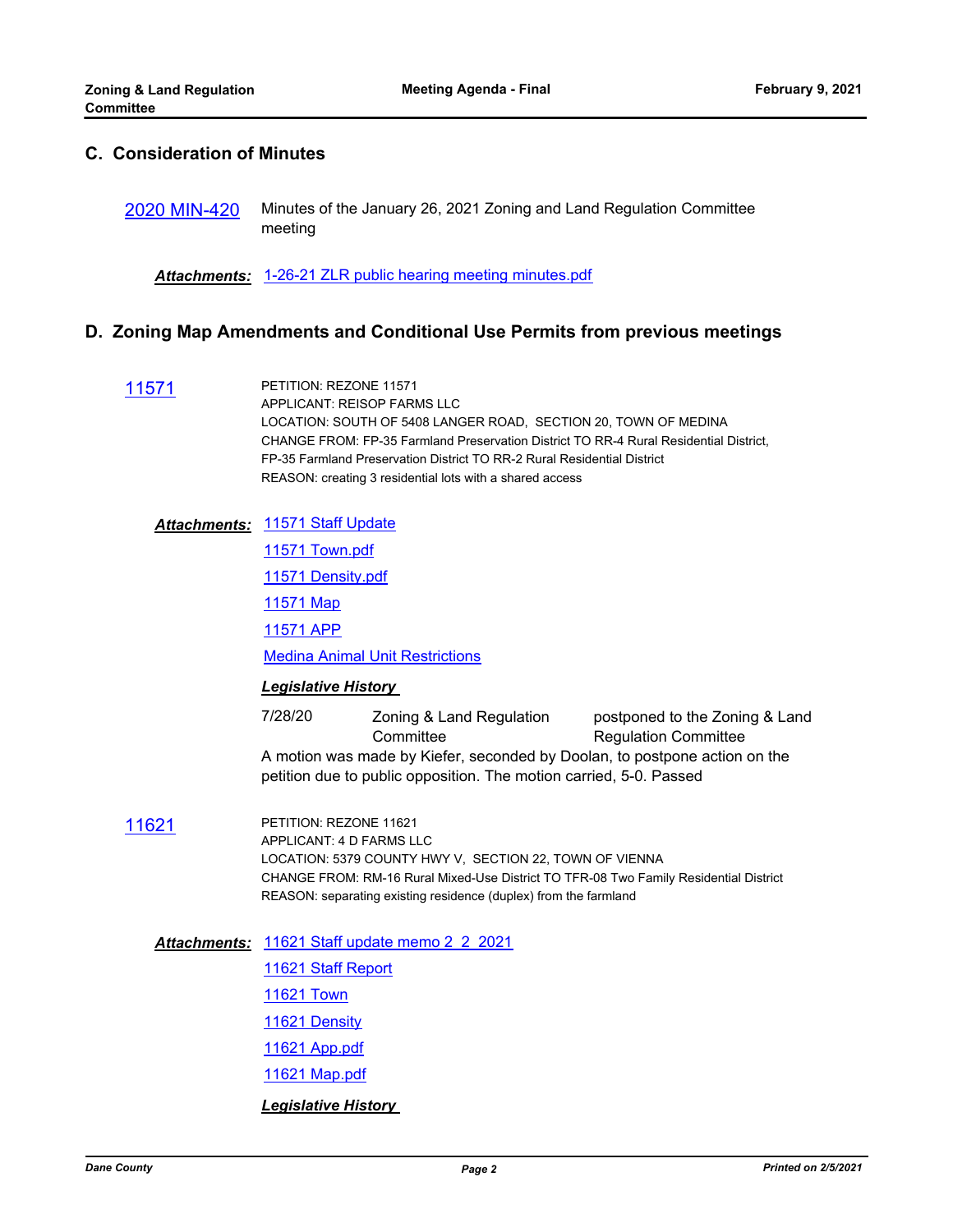## **C. Consideration of Minutes**

[2020 MIN-420](http://dane.legistar.com/gateway.aspx?m=l&id=/matter.aspx?key=19308) Minutes of the January 26, 2021 Zoning and Land Regulation Committee meeting

*Attachments:* [1-26-21 ZLR public hearing meeting minutes.pdf](http://dane.legistar.com/gateway.aspx?M=F&ID=214a2297-3d16-437d-acda-2907347e9544.pdf)

#### **D. Zoning Map Amendments and Conditional Use Permits from previous meetings**

[11571](http://dane.legistar.com/gateway.aspx?m=l&id=/matter.aspx?key=17624) PETITION: REZONE 11571 APPLICANT: REISOP FARMS LLC LOCATION: SOUTH OF 5408 LANGER ROAD, SECTION 20, TOWN OF MEDINA CHANGE FROM: FP-35 Farmland Preservation District TO RR-4 Rural Residential District, FP-35 Farmland Preservation District TO RR-2 Rural Residential District REASON: creating 3 residential lots with a shared access

[11571 Staff Update](http://dane.legistar.com/gateway.aspx?M=F&ID=ba3c9462-c6bf-4413-be46-7d8e1cef5608.pdf) *Attachments:*

[11571 Town.pdf](http://dane.legistar.com/gateway.aspx?M=F&ID=75afcfd1-e3d6-43a0-856e-806e34dcf9c7.pdf)

[11571 Density.pdf](http://dane.legistar.com/gateway.aspx?M=F&ID=263db0ac-b640-4926-9a80-85d01ffe7d27.pdf)

[11571 Map](http://dane.legistar.com/gateway.aspx?M=F&ID=69175183-9679-49de-bf74-d33895a26c1f.pdf)

[11571 APP](http://dane.legistar.com/gateway.aspx?M=F&ID=d504eab8-8000-45bd-ad22-70cef4dee00c.pdf)

[Medina Animal Unit Restrictions](http://dane.legistar.com/gateway.aspx?M=F&ID=df3e0c1e-8ec1-4ef5-9b6f-0adf4c06b986.pdf)

#### *Legislative History*

7/28/20 Zoning & Land Regulation **Committee** postponed to the Zoning & Land Regulation Committee A motion was made by Kiefer, seconded by Doolan, to postpone action on the petition due to public opposition. The motion carried, 5-0. Passed

[11621](http://dane.legistar.com/gateway.aspx?m=l&id=/matter.aspx?key=18543) PETITION: REZONE 11621 APPLICANT: 4 D FARMS LLC LOCATION: 5379 COUNTY HWY V, SECTION 22, TOWN OF VIENNA CHANGE FROM: RM-16 Rural Mixed-Use District TO TFR-08 Two Family Residential District REASON: separating existing residence (duplex) from the farmland

[11621 Staff update memo 2\\_2\\_2021](http://dane.legistar.com/gateway.aspx?M=F&ID=d50a8f92-7ffc-41a7-9903-d9f479748cde.pdf) *Attachments:*

[11621 Staff Report](http://dane.legistar.com/gateway.aspx?M=F&ID=0851f488-65c7-4e05-8f1c-2c791b62df54.pdf) [11621 Town](http://dane.legistar.com/gateway.aspx?M=F&ID=b8f21797-807f-4047-a5b5-869368782d15.pdf) [11621 Density](http://dane.legistar.com/gateway.aspx?M=F&ID=dfd86334-f712-4e79-a604-3f6971b1e2f8.pdf) [11621 App.pdf](http://dane.legistar.com/gateway.aspx?M=F&ID=0bb02d85-2bc6-4481-96af-4db2b0ebb852.pdf) [11621 Map.pdf](http://dane.legistar.com/gateway.aspx?M=F&ID=6e73a1a3-464b-41b2-8b66-86167876a563.pdf)

#### *Legislative History*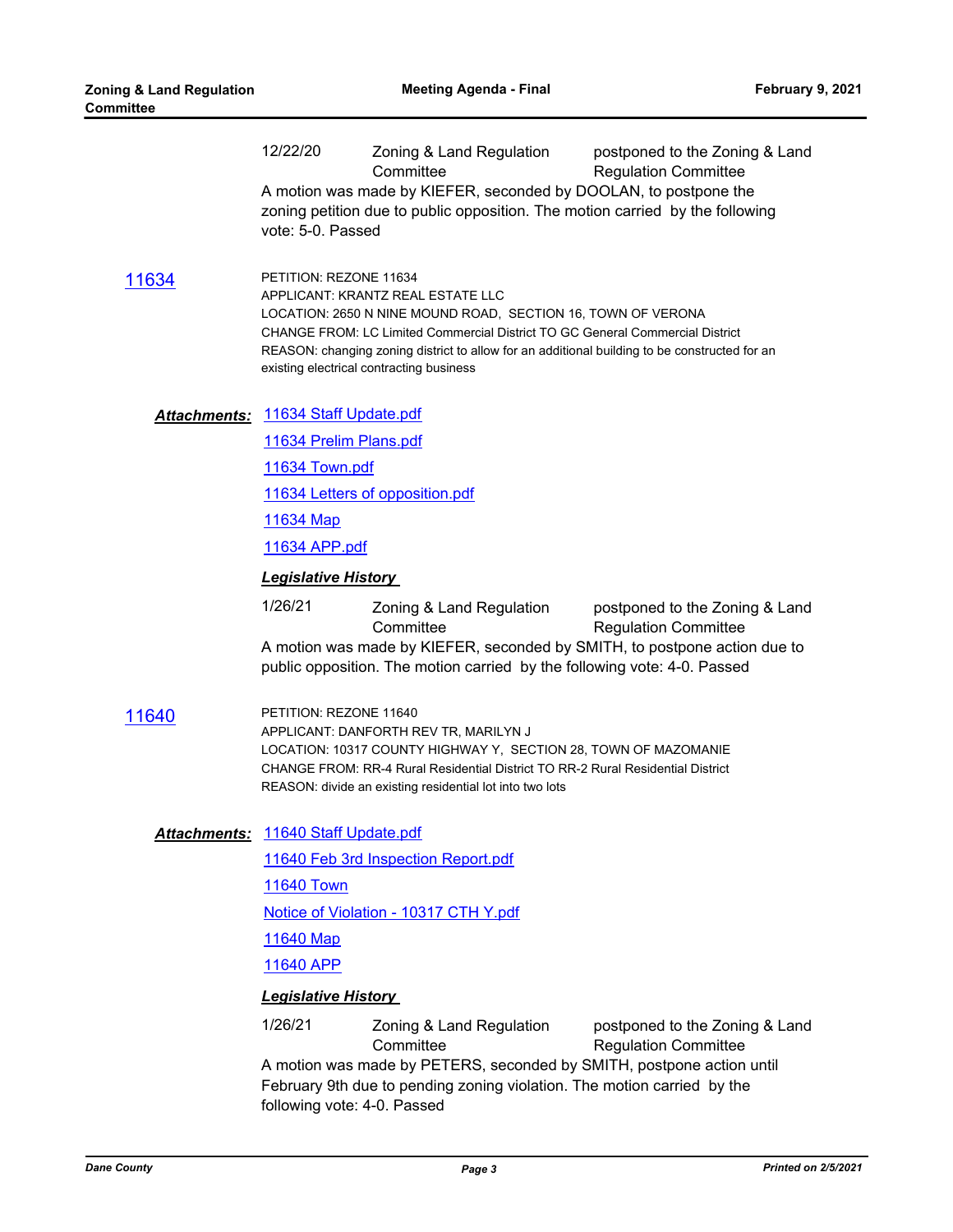| <u> 11634</u>       | 12/22/20<br>vote: 5-0. Passed<br>PETITION: REZONE 11634                                                                                                                                                                                                                           | Zoning & Land Regulation<br>Committee<br>A motion was made by KIEFER, seconded by DOOLAN, to postpone the<br>zoning petition due to public opposition. The motion carried by the following                                                                                                                                      | postponed to the Zoning & Land<br><b>Regulation Committee</b> |  |  |
|---------------------|-----------------------------------------------------------------------------------------------------------------------------------------------------------------------------------------------------------------------------------------------------------------------------------|---------------------------------------------------------------------------------------------------------------------------------------------------------------------------------------------------------------------------------------------------------------------------------------------------------------------------------|---------------------------------------------------------------|--|--|
|                     |                                                                                                                                                                                                                                                                                   | APPLICANT: KRANTZ REAL ESTATE LLC<br>LOCATION: 2650 N NINE MOUND ROAD, SECTION 16, TOWN OF VERONA<br>CHANGE FROM: LC Limited Commercial District TO GC General Commercial District<br>REASON: changing zoning district to allow for an additional building to be constructed for an<br>existing electrical contracting business |                                                               |  |  |
| <b>Attachments:</b> | 11634 Staff Update.pdf                                                                                                                                                                                                                                                            |                                                                                                                                                                                                                                                                                                                                 |                                                               |  |  |
|                     | 11634 Prelim Plans.pdf                                                                                                                                                                                                                                                            |                                                                                                                                                                                                                                                                                                                                 |                                                               |  |  |
|                     | 11634 Town.pdf<br>11634 Letters of opposition.pdf<br>11634 Map<br>11634 APP.pdf                                                                                                                                                                                                   |                                                                                                                                                                                                                                                                                                                                 |                                                               |  |  |
|                     |                                                                                                                                                                                                                                                                                   |                                                                                                                                                                                                                                                                                                                                 |                                                               |  |  |
|                     |                                                                                                                                                                                                                                                                                   |                                                                                                                                                                                                                                                                                                                                 |                                                               |  |  |
|                     |                                                                                                                                                                                                                                                                                   |                                                                                                                                                                                                                                                                                                                                 |                                                               |  |  |
|                     | <b>Legislative History</b>                                                                                                                                                                                                                                                        |                                                                                                                                                                                                                                                                                                                                 |                                                               |  |  |
|                     | 1/26/21                                                                                                                                                                                                                                                                           | Zoning & Land Regulation<br>Committee<br>A motion was made by KIEFER, seconded by SMITH, to postpone action due to<br>public opposition. The motion carried by the following vote: 4-0. Passed                                                                                                                                  | postponed to the Zoning & Land<br><b>Regulation Committee</b> |  |  |
| 11640               | PETITION: REZONE 11640<br>APPLICANT: DANFORTH REV TR, MARILYN J<br>LOCATION: 10317 COUNTY HIGHWAY Y, SECTION 28, TOWN OF MAZOMANIE<br>CHANGE FROM: RR-4 Rural Residential District TO RR-2 Rural Residential District<br>REASON: divide an existing residential lot into two lots |                                                                                                                                                                                                                                                                                                                                 |                                                               |  |  |
|                     | Attachments: 11640 Staff Update.pdf                                                                                                                                                                                                                                               |                                                                                                                                                                                                                                                                                                                                 |                                                               |  |  |
|                     |                                                                                                                                                                                                                                                                                   | 11640 Feb 3rd Inspection Report.pdf                                                                                                                                                                                                                                                                                             |                                                               |  |  |
|                     | 11640 Town<br>Notice of Violation - 10317 CTH Y.pdf                                                                                                                                                                                                                               |                                                                                                                                                                                                                                                                                                                                 |                                                               |  |  |
|                     |                                                                                                                                                                                                                                                                                   |                                                                                                                                                                                                                                                                                                                                 |                                                               |  |  |
|                     | 11640 Map                                                                                                                                                                                                                                                                         |                                                                                                                                                                                                                                                                                                                                 |                                                               |  |  |
|                     | 11640 APP                                                                                                                                                                                                                                                                         |                                                                                                                                                                                                                                                                                                                                 |                                                               |  |  |
|                     |                                                                                                                                                                                                                                                                                   | <b>Legislative History</b>                                                                                                                                                                                                                                                                                                      |                                                               |  |  |
|                     | 1/26/21                                                                                                                                                                                                                                                                           | Zoning & Land Regulation<br>Committee<br>A motion was made by PETERS, seconded by SMITH, postpone action until                                                                                                                                                                                                                  | postponed to the Zoning & Land<br><b>Regulation Committee</b> |  |  |

February 9th due to pending zoning violation. The motion carried by the following vote: 4-0. Passed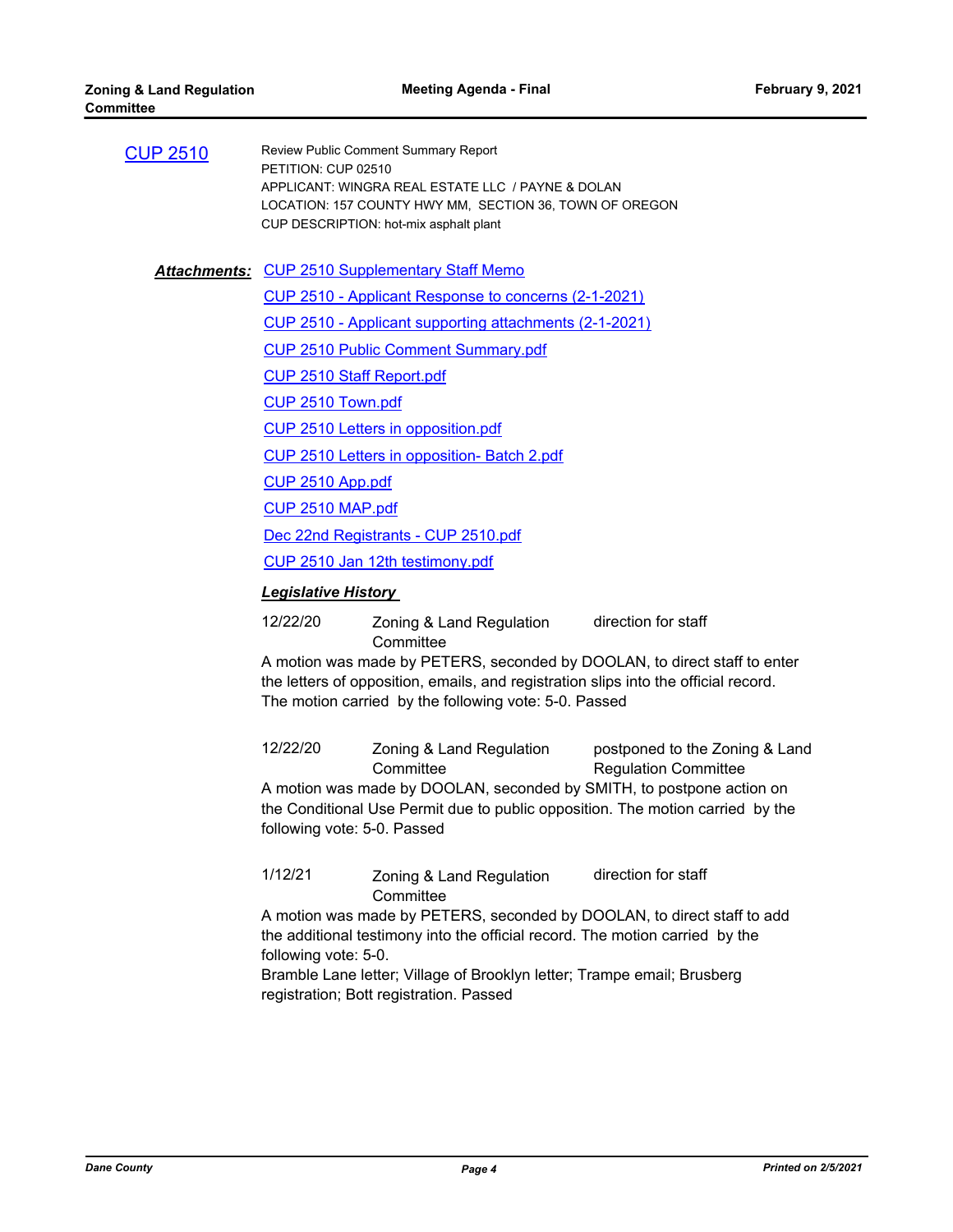| <b>CUP 2510</b> | Review Public Comment Summary Report                    |
|-----------------|---------------------------------------------------------|
|                 | PETITION: CUP 02510                                     |
|                 | APPLICANT: WINGRA REAL ESTATE LLC / PAYNE & DOLAN       |
|                 | LOCATION: 157 COUNTY HWY MM. SECTION 36, TOWN OF OREGON |
|                 | CUP DESCRIPTION: hot-mix asphalt plant                  |
|                 |                                                         |

Attachments: [CUP 2510 Supplementary Staff Memo](http://dane.legistar.com/gateway.aspx?M=F&ID=8b05952e-16f5-4645-ab76-bc717d8f0753.pdf)

[CUP 2510 - Applicant Response to concerns \(2-1-2021\)](http://dane.legistar.com/gateway.aspx?M=F&ID=5363297f-af72-4dac-ae77-56a22329b602.pdf) [CUP 2510 - Applicant supporting attachments \(2-1-2021\)](http://dane.legistar.com/gateway.aspx?M=F&ID=31cf703a-7c5b-447f-82eb-21850d0ad19d.pdf) [CUP 2510 Public Comment Summary.pdf](http://dane.legistar.com/gateway.aspx?M=F&ID=b7b1ca58-c174-4f37-9dd0-8aecf37ac1fc.pdf)

[CUP 2510 Staff Report.pdf](http://dane.legistar.com/gateway.aspx?M=F&ID=d72ac719-a483-4d66-8e9c-8a4e5f92ceda.pdf)

[CUP 2510 Town.pdf](http://dane.legistar.com/gateway.aspx?M=F&ID=228935b8-807c-4adb-ba5c-086aec85d88f.pdf)

[CUP 2510 Letters in opposition.pdf](http://dane.legistar.com/gateway.aspx?M=F&ID=2024ae66-6253-4609-8139-4fdf621fbe77.pdf)

[CUP 2510 Letters in opposition- Batch 2.pdf](http://dane.legistar.com/gateway.aspx?M=F&ID=fee84788-fcdc-4144-b818-2a5ab6339195.pdf)

[CUP 2510 App.pdf](http://dane.legistar.com/gateway.aspx?M=F&ID=34c7014a-b554-428b-8fa5-e38fe722a80d.pdf)

[CUP 2510 MAP.pdf](http://dane.legistar.com/gateway.aspx?M=F&ID=56cd6603-0efb-43e1-8f13-8b78c9249a70.pdf)

[Dec 22nd Registrants - CUP 2510.pdf](http://dane.legistar.com/gateway.aspx?M=F&ID=6531d3bf-6bb0-492d-ae8f-90aded1338b7.pdf)

[CUP 2510 Jan 12th testimony.pdf](http://dane.legistar.com/gateway.aspx?M=F&ID=9a1e634d-669e-4493-896d-c66f36f2b4bc.pdf)

#### *Legislative History*

12/22/20 Zoning & Land Regulation **Committee** direction for staff

A motion was made by PETERS, seconded by DOOLAN, to direct staff to enter the letters of opposition, emails, and registration slips into the official record. The motion carried by the following vote: 5-0. Passed

12/22/20 Zoning & Land Regulation **Committee** postponed to the Zoning & Land Regulation Committee A motion was made by DOOLAN, seconded by SMITH, to postpone action on the Conditional Use Permit due to public opposition. The motion carried by the following vote: 5-0. Passed

1/12/21 Zoning & Land Regulation **Committee** direction for staff

A motion was made by PETERS, seconded by DOOLAN, to direct staff to add the additional testimony into the official record. The motion carried by the following vote: 5-0.

Bramble Lane letter; Village of Brooklyn letter; Trampe email; Brusberg registration; Bott registration. Passed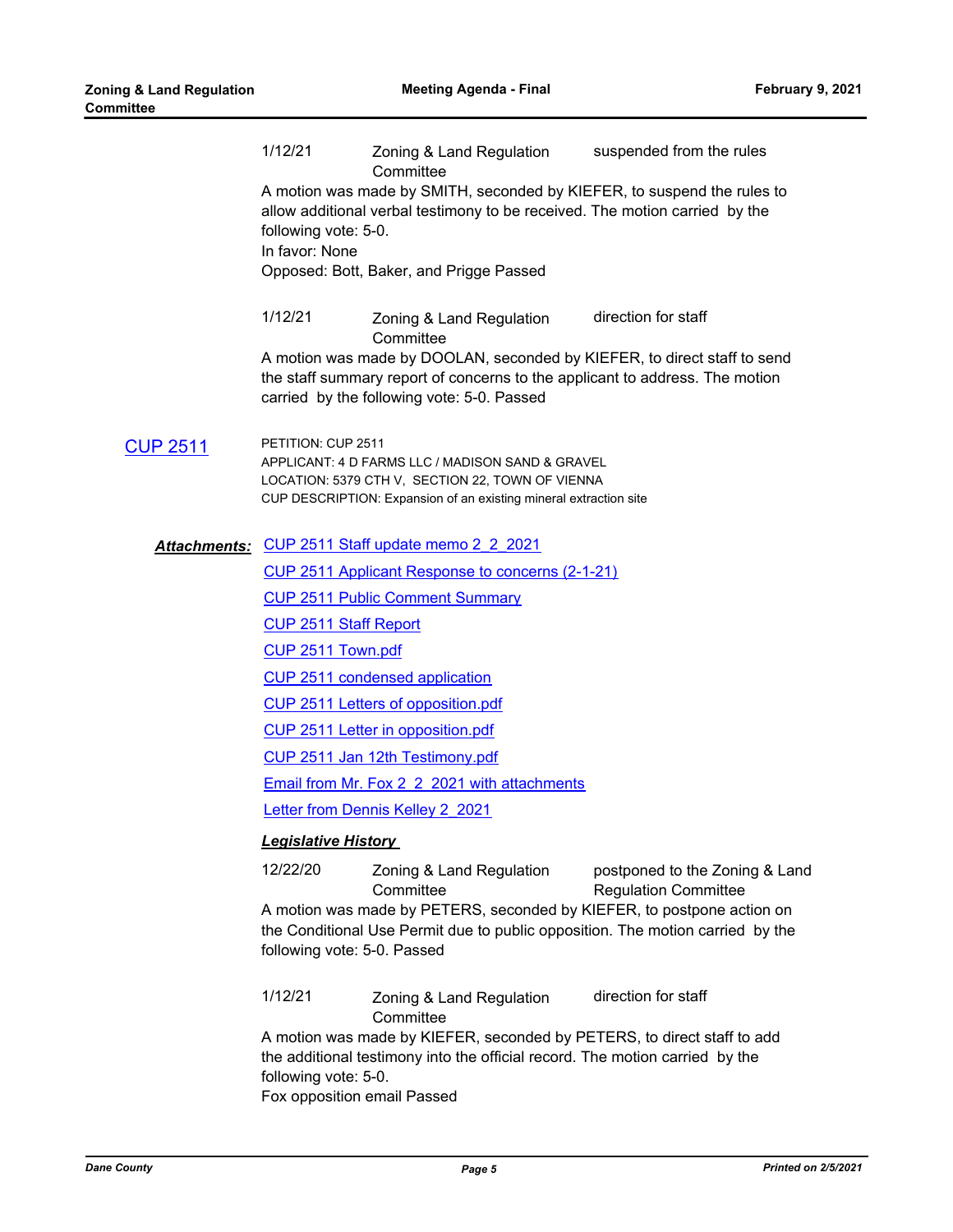|                 | 1/12/21                                                                                                                                                                                                                                                                                           | Zoning & Land Regulation<br>Committee            | suspended from the rules |  |  |  |  |
|-----------------|---------------------------------------------------------------------------------------------------------------------------------------------------------------------------------------------------------------------------------------------------------------------------------------------------|--------------------------------------------------|--------------------------|--|--|--|--|
|                 | A motion was made by SMITH, seconded by KIEFER, to suspend the rules to<br>allow additional verbal testimony to be received. The motion carried by the<br>following vote: 5-0.<br>In favor: None                                                                                                  |                                                  |                          |  |  |  |  |
|                 |                                                                                                                                                                                                                                                                                                   | Opposed: Bott, Baker, and Prigge Passed          |                          |  |  |  |  |
|                 | 1/12/21                                                                                                                                                                                                                                                                                           | Zoning & Land Regulation<br>Committee            | direction for staff      |  |  |  |  |
|                 | A motion was made by DOOLAN, seconded by KIEFER, to direct staff to send<br>the staff summary report of concerns to the applicant to address. The motion<br>carried by the following vote: 5-0. Passed                                                                                            |                                                  |                          |  |  |  |  |
| <b>CUP 2511</b> | PETITION: CUP 2511<br>APPLICANT: 4 D FARMS LLC / MADISON SAND & GRAVEL<br>LOCATION: 5379 CTH V, SECTION 22, TOWN OF VIENNA<br>CUP DESCRIPTION: Expansion of an existing mineral extraction site                                                                                                   |                                                  |                          |  |  |  |  |
|                 |                                                                                                                                                                                                                                                                                                   | Attachments: CUP 2511 Staff update memo 2 2 2021 |                          |  |  |  |  |
|                 | <b>CUP 2511 Applicant Response to concerns (2-1-21)</b>                                                                                                                                                                                                                                           |                                                  |                          |  |  |  |  |
|                 |                                                                                                                                                                                                                                                                                                   | <b>CUP 2511 Public Comment Summary</b>           |                          |  |  |  |  |
|                 | <b>CUP 2511 Staff Report</b><br>CUP 2511 Town.pdf<br>CUP 2511 condensed application<br>CUP 2511 Letters of opposition.pdf<br><b>CUP 2511 Letter in opposition.pdf</b><br>CUP 2511 Jan 12th Testimony.pdf                                                                                          |                                                  |                          |  |  |  |  |
|                 |                                                                                                                                                                                                                                                                                                   |                                                  |                          |  |  |  |  |
|                 |                                                                                                                                                                                                                                                                                                   |                                                  |                          |  |  |  |  |
|                 |                                                                                                                                                                                                                                                                                                   |                                                  |                          |  |  |  |  |
|                 |                                                                                                                                                                                                                                                                                                   |                                                  |                          |  |  |  |  |
|                 |                                                                                                                                                                                                                                                                                                   |                                                  |                          |  |  |  |  |
|                 |                                                                                                                                                                                                                                                                                                   | Email from Mr. Fox 2 2 2021 with attachments     |                          |  |  |  |  |
|                 | Letter from Dennis Kelley 2 2021                                                                                                                                                                                                                                                                  |                                                  |                          |  |  |  |  |
|                 | <b>Legislative History</b>                                                                                                                                                                                                                                                                        |                                                  |                          |  |  |  |  |
|                 | 12/22/20                                                                                                                                                                                                                                                                                          |                                                  |                          |  |  |  |  |
|                 | Zoning & Land Regulation<br>postponed to the Zoning & Land<br>Committee<br><b>Regulation Committee</b><br>A motion was made by PETERS, seconded by KIEFER, to postpone action on<br>the Conditional Use Permit due to public opposition. The motion carried by the<br>following vote: 5-0. Passed |                                                  |                          |  |  |  |  |
|                 | 1/12/21                                                                                                                                                                                                                                                                                           | Zoning & Land Regulation<br>Committee            | direction for staff      |  |  |  |  |
|                 | A motion was made by KIEFER, seconded by PETERS, to direct staff to add<br>the additional testimony into the official record. The motion carried by the<br>following vote: 5-0.<br>Fox opposition email Passed                                                                                    |                                                  |                          |  |  |  |  |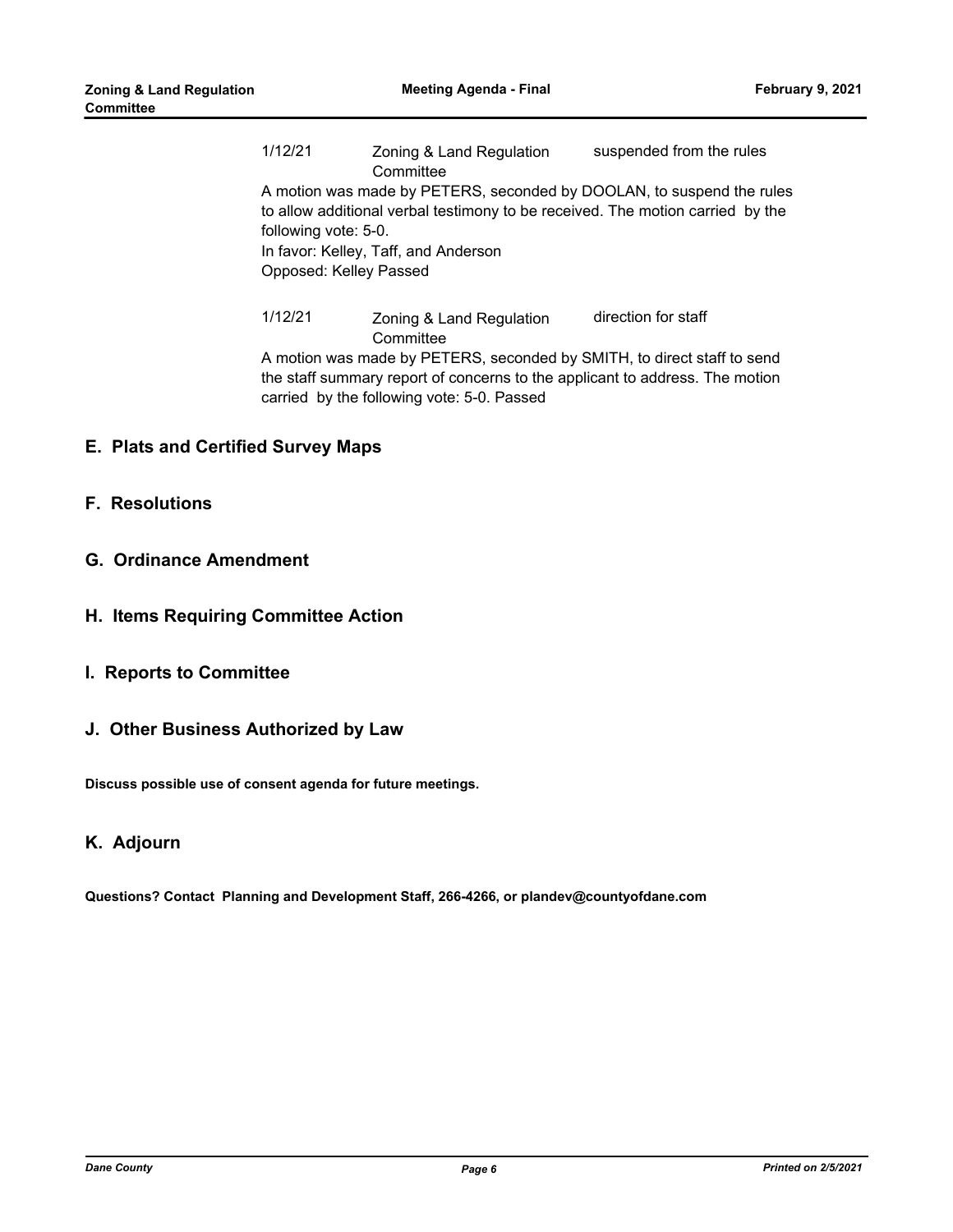1/12/21 Zoning & Land Regulation **Committee** suspended from the rules A motion was made by PETERS, seconded by DOOLAN, to suspend the rules to allow additional verbal testimony to be received. The motion carried by the following vote: 5-0. In favor: Kelley, Taff, and Anderson Opposed: Kelley Passed 1/12/21 Zoning & Land Regulation **Committee** direction for staff

A motion was made by PETERS, seconded by SMITH, to direct staff to send the staff summary report of concerns to the applicant to address. The motion carried by the following vote: 5-0. Passed

## **E. Plats and Certified Survey Maps**

#### **F. Resolutions**

- **G. Ordinance Amendment**
- **H. Items Requiring Committee Action**
- **I. Reports to Committee**
- **J. Other Business Authorized by Law**

**Discuss possible use of consent agenda for future meetings.**

## **K. Adjourn**

**Questions? Contact Planning and Development Staff, 266-4266, or plandev@countyofdane.com**